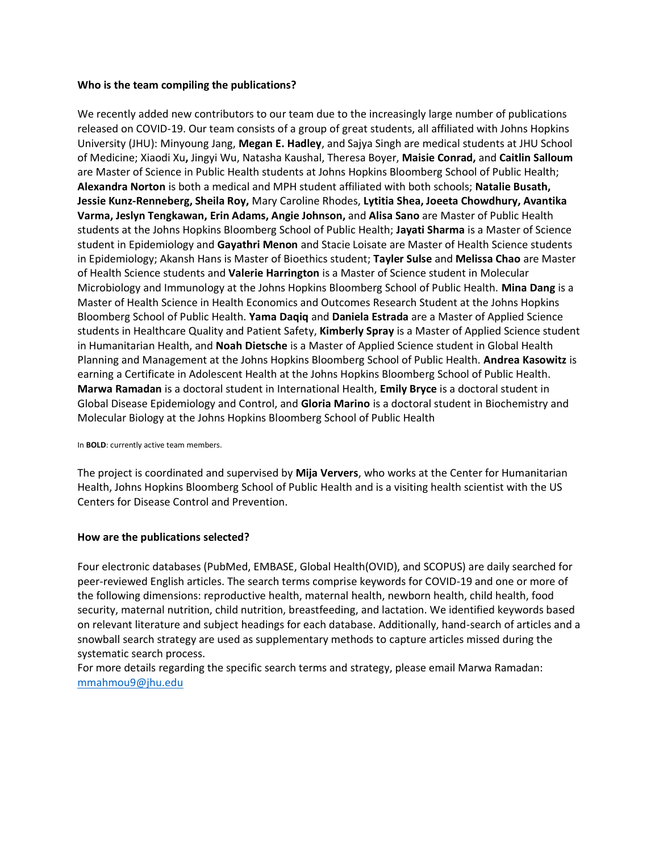#### **Who is the team compiling the publications?**

We recently added new contributors to our team due to the increasingly large number of publications released on COVID-19. Our team consists of a group of great students, all affiliated with Johns Hopkins University (JHU): Minyoung Jang, **Megan E. Hadley**, and Sajya Singh are medical students at JHU School of Medicine; Xiaodi Xu**,** Jingyi Wu, Natasha Kaushal, Theresa Boyer, **Maisie Conrad,** and **Caitlin Salloum**  are Master of Science in Public Health students at Johns Hopkins Bloomberg School of Public Health; **Alexandra Norton** is both a medical and MPH student affiliated with both schools; **Natalie Busath, Jessie Kunz-Renneberg, Sheila Roy,** Mary Caroline Rhodes, **Lytitia Shea, Joeeta Chowdhury, Avantika Varma, Jeslyn Tengkawan, Erin Adams, Angie Johnson,** and **Alisa Sano** are Master of Public Health students at the Johns Hopkins Bloomberg School of Public Health; **Jayati Sharma** is a Master of Science student in Epidemiology and **Gayathri Menon** and Stacie Loisate are Master of Health Science students in Epidemiology; Akansh Hans is Master of Bioethics student; **Tayler Sulse** and **Melissa Chao** are Master of Health Science students and **Valerie Harrington** is a Master of Science student in Molecular Microbiology and Immunology at the Johns Hopkins Bloomberg School of Public Health. **Mina Dang** is a Master of Health Science in Health Economics and Outcomes Research Student at the Johns Hopkins Bloomberg School of Public Health. **Yama Daqiq** and **Daniela Estrada** are a Master of Applied Science students in Healthcare Quality and Patient Safety, **Kimberly Spray** is a Master of Applied Science student in Humanitarian Health, and **Noah Dietsche** is a Master of Applied Science student in Global Health Planning and Management at the Johns Hopkins Bloomberg School of Public Health. **Andrea Kasowitz** is earning a Certificate in Adolescent Health at the Johns Hopkins Bloomberg School of Public Health. **Marwa Ramadan** is a doctoral student in International Health, **Emily Bryce** is a doctoral student in Global Disease Epidemiology and Control, and **Gloria Marino** is a doctoral student in Biochemistry and Molecular Biology at the Johns Hopkins Bloomberg School of Public Health

#### In **BOLD**: currently active team members.

The project is coordinated and supervised by **Mija Ververs**, who works at the Center for Humanitarian Health, Johns Hopkins Bloomberg School of Public Health and is a visiting health scientist with the US Centers for Disease Control and Prevention.

#### **How are the publications selected?**

Four electronic databases (PubMed, EMBASE, Global Health(OVID), and SCOPUS) are daily searched for peer-reviewed English articles. The search terms comprise keywords for COVID-19 and one or more of the following dimensions: reproductive health, maternal health, newborn health, child health, food security, maternal nutrition, child nutrition, breastfeeding, and lactation. We identified keywords based on relevant literature and subject headings for each database. Additionally, hand-search of articles and a snowball search strategy are used as supplementary methods to capture articles missed during the systematic search process.

For more details regarding the specific search terms and strategy, please email Marwa Ramadan: [mmahmou9@jhu.edu](mailto:mmahmou9@jhu.edu)